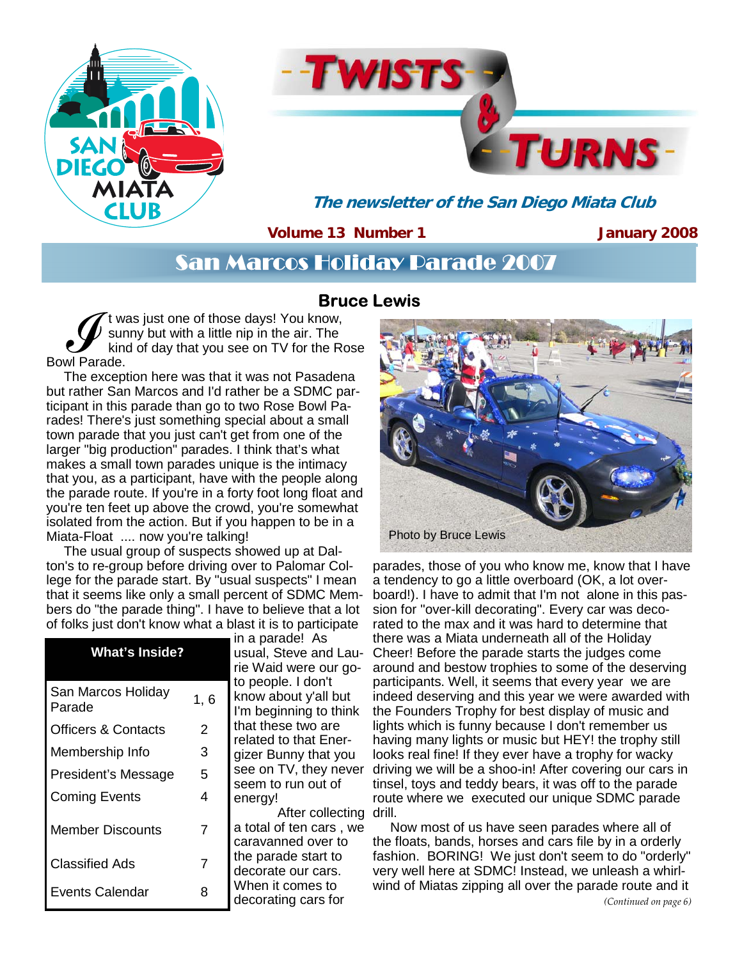



**The newsletter of the San Diego Miata Club** 

**Volume 13 Number 1** 

**January 2008** 

## San Marcos Holiday Parade 2007

## **Bruce Lewis**

t was just one of those days! You know, sunny but with a little nip in the air. The kind of day that you see on TV for the Rose Bowl Parade.

The exception here was that it was not Pasadena but rather San Marcos and I'd rather be a SDMC participant in this parade than go to two Rose Bowl Parades! There's just something special about a small town parade that you just can't get from one of the larger "big production" parades. I think that's what makes a small town parades unique is the intimacy that you, as a participant, have with the people along the parade route. If you're in a forty foot long float and you're ten feet up above the crowd, you're somewhat isolated from the action. But if you happen to be in a Miata-Float .... now you're talking!

The usual group of suspects showed up at Dalton's to re-group before driving over to Palomar College for the parade start. By "usual suspects" I mean that it seems like only a small percent of SDMC Members do "the parade thing". I have to believe that a lot of folks just don't know what a blast it is to participate

| <b>What's Inside?</b>          |                | шар<br>usual.<br>rie Wa  |
|--------------------------------|----------------|--------------------------|
| San Marcos Holiday<br>Parade   | 1, 6           | to peo<br>know<br>I'm be |
| <b>Officers &amp; Contacts</b> | 2              | that th<br>relate        |
| Membership Info                | 3              | gizer                    |
| President's Message            | 5              | see o<br>seem            |
| <b>Coming Events</b>           | 4              | energ                    |
| <b>Member Discounts</b>        | $\overline{7}$ | a tota<br>carav          |
| <b>Classified Ads</b>          | 7              | the pa<br>decor          |
| <b>Events Calendar</b>         | 8              | When<br>decor            |

in a parade! As Steve and Lauaid were our gopple. I don't about y'all but eginning to think hese two are d to that Ener-Bunny that you n TV, they never to run out of energy! After collecting drill. I of ten cars, we anned over to

arade start to ate our cars. it comes to ating cars for



parades, those of you who know me, know that I have a tendency to go a little overboard (OK, a lot overboard!). I have to admit that I'm not alone in this passion for "over-kill decorating". Every car was decorated to the max and it was hard to determine that there was a Miata underneath all of the Holiday Cheer! Before the parade starts the judges come around and bestow trophies to some of the deserving participants. Well, it seems that every year we are indeed deserving and this year we were awarded with the Founders Trophy for best display of music and lights which is funny because I don't remember us having many lights or music but HEY! the trophy still looks real fine! If they ever have a trophy for wacky driving we will be a shoo-in! After covering our cars in tinsel, toys and teddy bears, it was off to the parade route where we executed our unique SDMC parade

Now most of us have seen parades where all of the floats, bands, horses and cars file by in a orderly fashion. BORING! We just don't seem to do "orderly" very well here at SDMC! Instead, we unleash a whirlwind of Miatas zipping all over the parade route and it *(Continued on page 6)*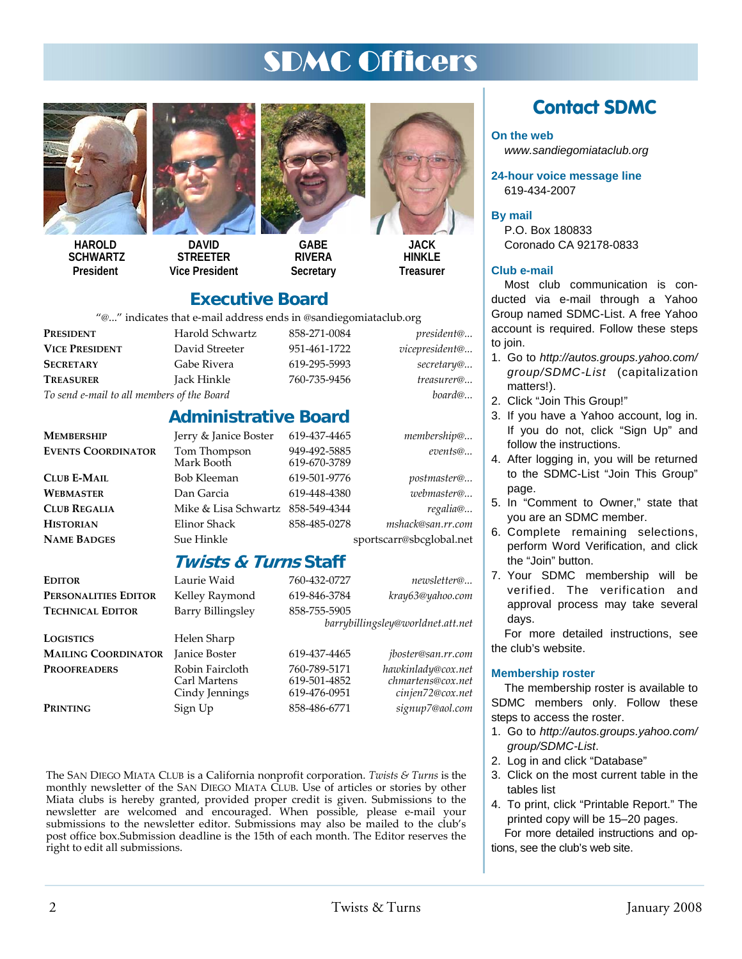# SDMC Officers



**HAROLD SCHWARTZ President** 



**DAVID STREETER Vice President** 



**GABE RIVERA Secretary** 

619-670-3789



**HINKI F Treasurer** 

### **Executive Board**

"@..." indicates that e-mail address ends in @sandiegomiataclub.org

**Administrative Board** 

| e muitatto that c-man autritos chus in esantitegomiatatitus.org |                 |              |                    |  |
|-----------------------------------------------------------------|-----------------|--------------|--------------------|--|
| <b>PRESIDENT</b>                                                | Harold Schwartz | 858-271-0084 | <i>president</i> @ |  |
| <b>VICE PRESIDENT</b>                                           | David Streeter  | 951-461-1722 | vicepresident@     |  |
| <b>SECRETARY</b>                                                | Gabe Rivera     | 619-295-5993 | secretary@         |  |
| <b>TREASURER</b>                                                | Jack Hinkle     | 760-735-9456 | treasurer@         |  |
|                                                                 |                 |              |                    |  |

*To send e-mail to all members of the Board board@...*

**MEMBERSHIP** Jerry & Janice Boster 619-437-4465 *membership@...* **EVENTS COORDINATOR** Tom Thompson 949-492-5885 *events@...*

**CLUB E-MAIL** Bob Kleeman 619-501-9776 *postmaster@...* **WEBMASTER** Dan Garcia 619-448-4380 *webmaster@...*  **CLUB REGALIA** Mike & Lisa Schwartz 858-549-4344 *regalia@...* **HISTORIAN** Elinor Shack 858-485-0278 *mshack@san.rr.com*

**NAME BADGES** Sue Hinkle sportscarr@sbcglobal.net

### **Twists & Turns Staff**

| Editor                     | Laurie Waid                                       | 760-432-0727                                 | newsletter@                                                 |
|----------------------------|---------------------------------------------------|----------------------------------------------|-------------------------------------------------------------|
| PERSONALITIES EDITOR       | Kelley Raymond                                    | 619-846-3784                                 | kray63@yahoo.com                                            |
| <b>TECHNICAL EDITOR</b>    | <b>Barry Billingsley</b>                          | 858-755-5905                                 |                                                             |
|                            |                                                   |                                              | barrybillingsley@worldnet.att.net                           |
| LOGISTICS                  | Helen Sharp                                       |                                              |                                                             |
| <b>MAILING COORDINATOR</b> | <b>Janice Boster</b>                              | 619-437-4465                                 | <i>jboster@san.rr.com</i>                                   |
| <b>PROOFREADERS</b>        | Robin Faircloth<br>Carl Martens<br>Cindy Jennings | 760-789-5171<br>619-501-4852<br>619-476-0951 | hawkinlady@cox.net<br>chmartens@cox.net<br>cinjen72@cox.net |
| Printing                   | Sign Up                                           | 858-486-6771                                 | signup7@aol.com                                             |

The SAN DIEGO MIATA CLUB is a California nonprofit corporation. *Twists & Turns* is the monthly newsletter of the SAN DIEGO MIATA CLUB. Use of articles or stories by other Miata clubs is hereby granted, provided proper credit is given. Submissions to the newsletter are welcomed and encouraged. When possible, please e-mail your submissions to the newsletter editor. Submissions may also be mailed to the club's post office box.Submission deadline is the 15th of each month. The Editor reserves the right to edit all submissions.

## **Contact SDMC**

#### **On the web**

*www.sandiegomiataclub.org* 

**24-hour voice message line**  619-434-2007

**By mail** 

P.O. Box 180833 Coronado CA 92178-0833

#### **Club e-mail**

Most club communication is conducted via e-mail through a Yahoo Group named SDMC-List. A free Yahoo account is required. Follow these steps to join.

- 1. Go to *http://autos.groups.yahoo.com/ group/SDMC-List* (capitalization matters!).
- 2. Click "Join This Group!"
- 3. If you have a Yahoo account, log in. If you do not, click "Sign Up" and follow the instructions.
- 4. After logging in, you will be returned to the SDMC-List "Join This Group" page.
- 5. In "Comment to Owner," state that you are an SDMC member.
- 6. Complete remaining selections, perform Word Verification, and click the "Join" button.
- 7. Your SDMC membership will be verified. The verification and approval process may take several days.

For more detailed instructions, see the club's website.

#### **Membership roster**

The membership roster is available to SDMC members only. Follow these steps to access the roster.

- 1. Go to *http://autos.groups.yahoo.com/ group/SDMC-List*.
- 2. Log in and click "Database"
- 3. Click on the most current table in the tables list
- 4. To print, click "Printable Report." The printed copy will be 15–20 pages. For more detailed instructions and options, see the club's web site.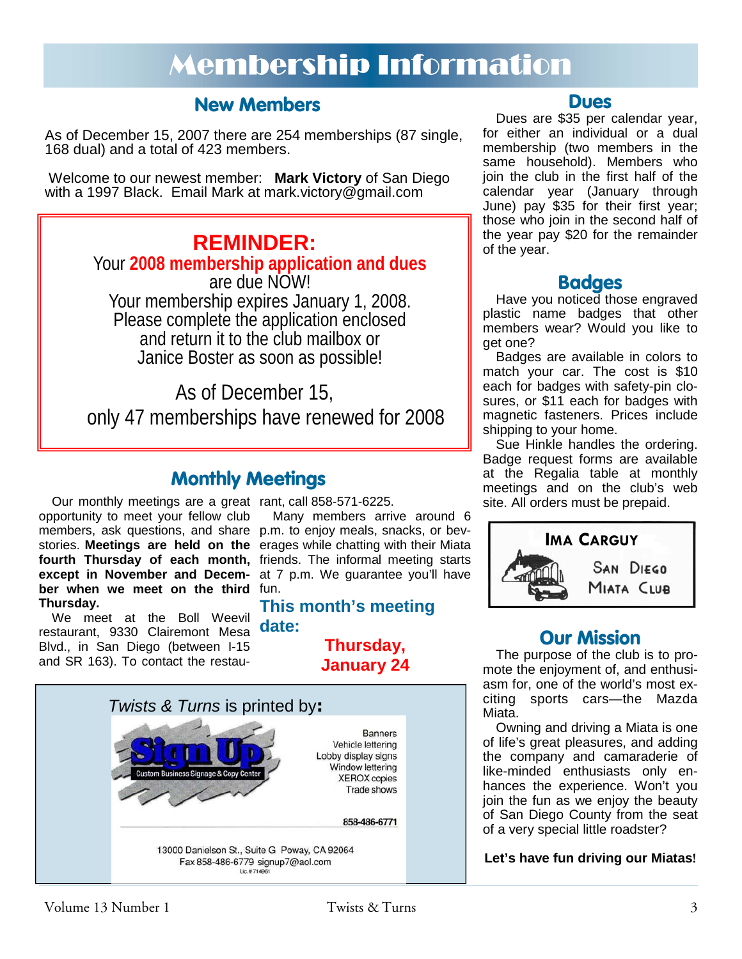# Membership Information

## **New Members**

As of December 15, 2007 there are 254 memberships (87 single, 168 dual) and a total of 423 members.

Welcome to our newest member: **Mark Victory** of San Diego with a 1997 Black. Email Mark at mark.victory@gmail.com

**REMINDER:**  Your **2008 membership application and dues**  are due NOW! Your membership expires January 1, 2008. Please complete the application enclosed and return it to the club mailbox or Janice Boster as soon as possible!

As of December 15, only 47 memberships have renewed for 2008

## **Monthly Meetings**

Our monthly meetings are a great rant, call 858-571-6225. opportunity to meet your fellow club members, ask questions, and share p.m. to enjoy meals, snacks, or bevstories. **Meetings are held on the**  erages while chatting with their Miata fourth Thursday of each month, friends. The informal meeting starts **except in November and Decem-**at 7 p.m. We guarantee you'll have ber when we meet on the third fun. **Thursday.**

We meet at the Boll Weevil restaurant, 9330 Clairemont Mesa Blvd., in San Diego (between I-15 and SR 163). To contact the restau-

Many members arrive around 6

### **This month's meeting date:**

**Thursday, January 24** 



#### **Dues**

Dues are \$35 per calendar year, for either an individual or a dual membership (two members in the same household). Members who join the club in the first half of the calendar year (January through June) pay \$35 for their first year; those who join in the second half of the year pay \$20 for the remainder of the year.

### **Badges**

Have you noticed those engraved plastic name badges that other members wear? Would you like to get one?

Badges are available in colors to match your car. The cost is \$10 each for badges with safety-pin closures, or \$11 each for badges with magnetic fasteners. Prices include shipping to your home.

Sue Hinkle handles the ordering. Badge request forms are available at the Regalia table at monthly meetings and on the club's web site. All orders must be prepaid.



## **Our Mission**

The purpose of the club is to promote the enjoyment of, and enthusiasm for, one of the world's most exciting sports cars—the Mazda Miata.

Owning and driving a Miata is one of life's great pleasures, and adding the company and camaraderie of like-minded enthusiasts only enhances the experience. Won't you join the fun as we enjoy the beauty of San Diego County from the seat of a very special little roadster?

**Let's have fun driving our Miatas!**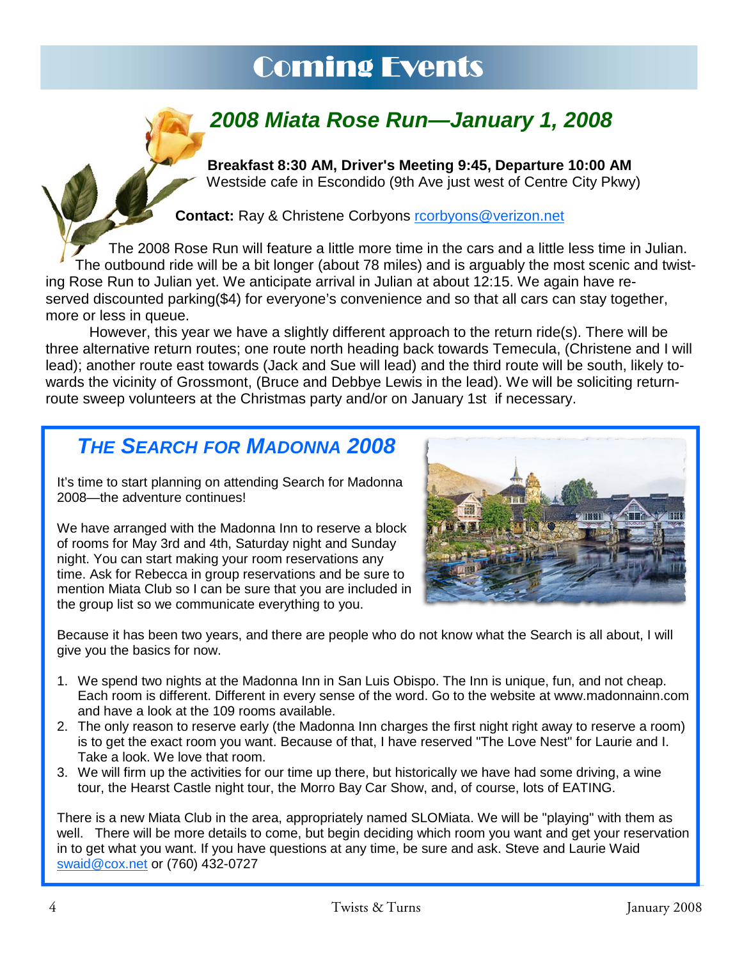# Coming Events



**Breakfast 8:30 AM, Driver's Meeting 9:45, Departure 10:00 AM**  Westside cafe in Escondido (9th Ave just west of Centre City Pkwy)

**Contact:** Ray & Christene Corbyons rcorbyons@verizon.net

The 2008 Rose Run will feature a little more time in the cars and a little less time in Julian. The outbound ride will be a bit longer (about 78 miles) and is arguably the most scenic and twisting Rose Run to Julian yet. We anticipate arrival in Julian at about 12:15. We again have reserved discounted parking(\$4) for everyone's convenience and so that all cars can stay together, more or less in queue.

 However, this year we have a slightly different approach to the return ride(s). There will be three alternative return routes; one route north heading back towards Temecula, (Christene and I will lead); another route east towards (Jack and Sue will lead) and the third route will be south, likely towards the vicinity of Grossmont, (Bruce and Debbye Lewis in the lead). We will be soliciting returnroute sweep volunteers at the Christmas party and/or on January 1st if necessary.

## *THE SEARCH FOR MADONNA 2008*

It's time to start planning on attending Search for Madonna 2008—the adventure continues!

We have arranged with the Madonna Inn to reserve a block of rooms for May 3rd and 4th, Saturday night and Sunday night. You can start making your room reservations any time. Ask for Rebecca in group reservations and be sure to mention Miata Club so I can be sure that you are included in the group list so we communicate everything to you.



Because it has been two years, and there are people who do not know what the Search is all about, I will give you the basics for now.

- 1. We spend two nights at the Madonna Inn in San Luis Obispo. The Inn is unique, fun, and not cheap. Each room is different. Different in every sense of the word. Go to the website at www.madonnainn.com and have a look at the 109 rooms available.
- 2. The only reason to reserve early (the Madonna Inn charges the first night right away to reserve a room) is to get the exact room you want. Because of that, I have reserved "The Love Nest" for Laurie and I. Take a look. We love that room.
- 3. We will firm up the activities for our time up there, but historically we have had some driving, a wine tour, the Hearst Castle night tour, the Morro Bay Car Show, and, of course, lots of EATING.

There is a new Miata Club in the area, appropriately named SLOMiata. We will be "playing" with them as well. There will be more details to come, but begin deciding which room you want and get your reservation in to get what you want. If you have questions at any time, be sure and ask. Steve and Laurie Waid swaid@cox.net or (760) 432-0727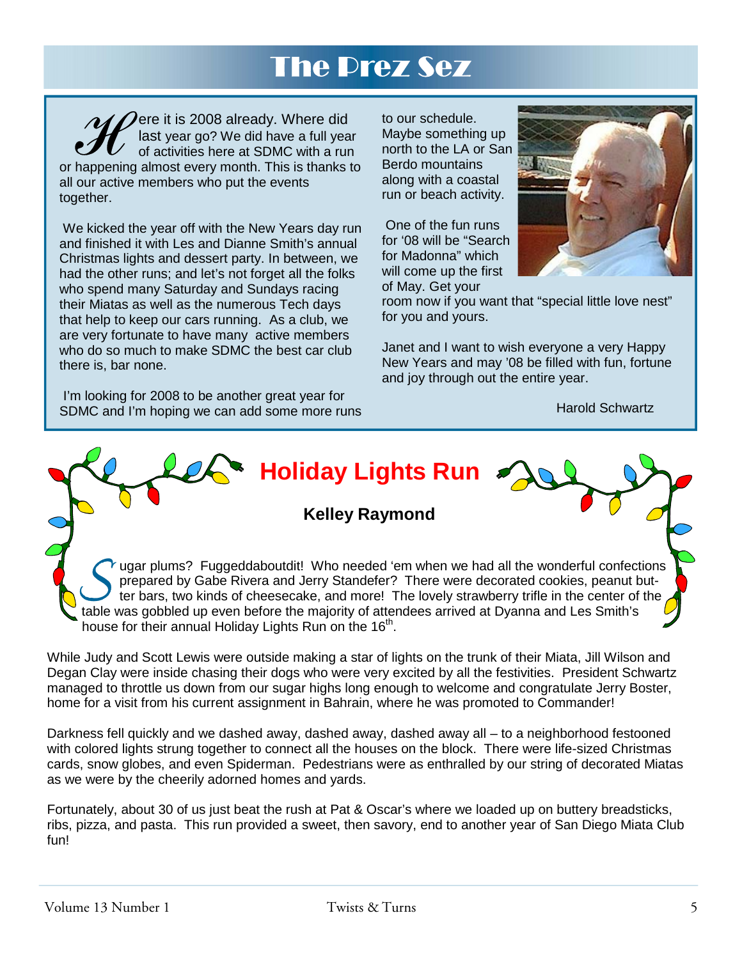# The Prez Sez

 $\mathcal{M}$   $\mathcal{D}$ ere it is 2008 already. Where did last year go? We did have a full year of activities here at SDMC with a run or happening almost every month. This is thanks to all our active members who put the events together.

 We kicked the year off with the New Years day run and finished it with Les and Dianne Smith's annual Christmas lights and dessert party. In between, we had the other runs; and let's not forget all the folks who spend many Saturday and Sundays racing their Miatas as well as the numerous Tech days that help to keep our cars running. As a club, we are very fortunate to have many active members who do so much to make SDMC the best car club there is, bar none.

to our schedule. Maybe something up north to the LA or San Berdo mountains along with a coastal run or beach activity.

 One of the fun runs for '08 will be "Search for Madonna" which will come up the first of May. Get your



room now if you want that "special little love nest" for you and yours.

Janet and I want to wish everyone a very Happy New Years and may '08 be filled with fun, fortune and joy through out the entire year.

Harold Schwartz

 I'm looking for 2008 to be another great year for SDMC and I'm hoping we can add some more runs

**Kelley Raymond** 

**Holiday Lights Run** 

S **Started UP 1999 UP 1999 UP 1999 UP 1999 UP 1999 UP 1999 UP 1999 UP 1999 UP 1999 UP 1999 UP 1999 UP 1999 UP 1999 UP 1999 UP 1999 UP 1999 UP 1999 UP 1999 UP 1999 UP 1999 UP 1999 UP 1999 UP 1999 UP 1999 UP 1999 UP 1999 UP** prepared by Gabe Rivera and Jerry Standefer? There were decorated cookies, peanut butter bars, two kinds of cheesecake, and more! The lovely strawberry trifle in the center of the house for their annual Holiday Lights Run on the 16<sup>th</sup>.

While Judy and Scott Lewis were outside making a star of lights on the trunk of their Miata, Jill Wilson and Degan Clay were inside chasing their dogs who were very excited by all the festivities. President Schwartz managed to throttle us down from our sugar highs long enough to welcome and congratulate Jerry Boster, home for a visit from his current assignment in Bahrain, where he was promoted to Commander!

Darkness fell quickly and we dashed away, dashed away, dashed away all – to a neighborhood festooned with colored lights strung together to connect all the houses on the block. There were life-sized Christmas cards, snow globes, and even Spiderman. Pedestrians were as enthralled by our string of decorated Miatas as we were by the cheerily adorned homes and yards.

Fortunately, about 30 of us just beat the rush at Pat & Oscar's where we loaded up on buttery breadsticks, ribs, pizza, and pasta. This run provided a sweet, then savory, end to another year of San Diego Miata Club fun!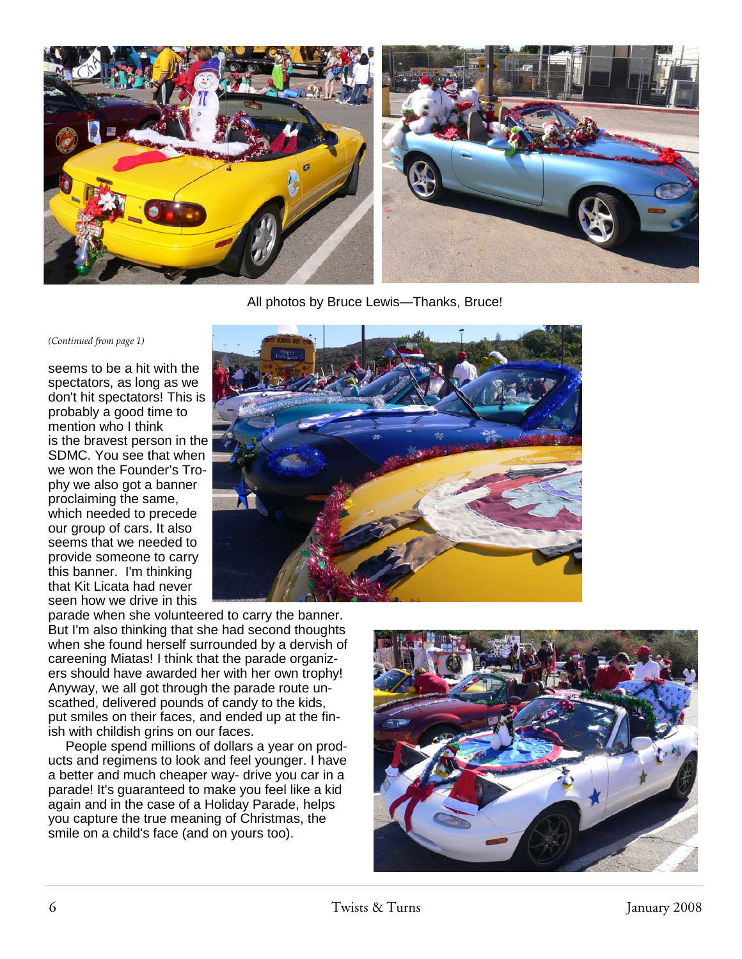

All photos by Bruce Lewis—Thanks, Bruce!

*(Continued from page 1)* 

seems to be a hit with the spectators, as long as we don't hit spectators! This is probably a good time to mention who I think is the bravest person in the SDMC. You see that when we won the Founder's Trophy we also got a banner proclaiming the same, which needed to precede our group of cars. It also seems that we needed to provide someone to carry this banner. I'm thinking that Kit Licata had never seen how we drive in this



parade when she volunteered to carry the banner. But I'm also thinking that she had second thoughts when she found herself surrounded by a dervish of careening Miatas! I think that the parade organizers should have awarded her with her own trophy! Anyway, we all got through the parade route unscathed, delivered pounds of candy to the kids, put smiles on their faces, and ended up at the finish with childish grins on our faces.

People spend millions of dollars a year on products and regimens to look and feel younger. I have a better and much cheaper way- drive you car in a parade! It's guaranteed to make you feel like a kid again and in the case of a Holiday Parade, helps you capture the true meaning of Christmas, the smile on a child's face (and on yours too).

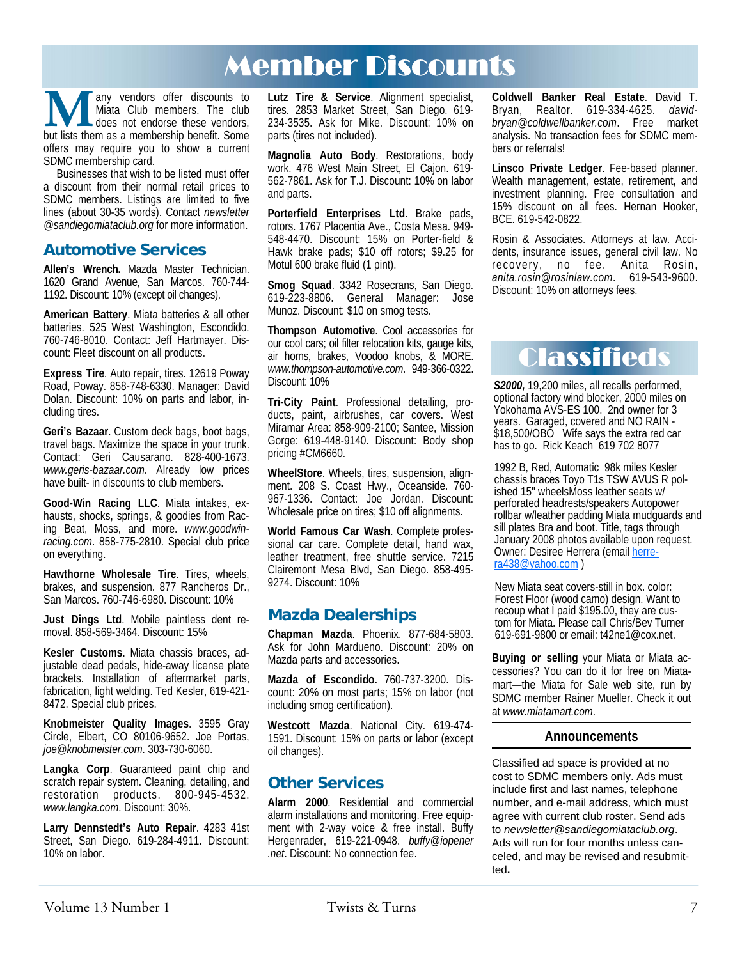## Member Discounts

**M** any vendors offer discounts to Milata Club members. The club does not endorse these vendors, but lists them as a membership benefit. Some Miata Club members. The club does not endorse these vendors, offers may require you to show a current SDMC membership card.

Businesses that wish to be listed must offer a discount from their normal retail prices to SDMC members. Listings are limited to five lines (about 30-35 words). Contact *newsletter @sandiegomiataclub.org* for more information.

#### **Automotive Services**

**Allen's Wrench.** Mazda Master Technician. 1620 Grand Avenue, San Marcos. 760-744- 1192. Discount: 10% (except oil changes).

**American Battery**. Miata batteries & all other batteries. 525 West Washington, Escondido. 760-746-8010. Contact: Jeff Hartmayer. Discount: Fleet discount on all products.

**Express Tire**. Auto repair, tires. 12619 Poway Road, Poway. 858-748-6330. Manager: David Dolan. Discount: 10% on parts and labor, including tires.

**Geri's Bazaar**. Custom deck bags, boot bags, travel bags. Maximize the space in your trunk. Contact: Geri Causarano. 828-400-1673. *www.geris-bazaar.com*. Already low prices have built- in discounts to club members.

**Good-Win Racing LLC**. Miata intakes, exhausts, shocks, springs, & goodies from Racing Beat, Moss, and more. *www.goodwin*racing.com. 858-775-2810. Special club price on everything.

**Hawthorne Wholesale Tire**. Tires, wheels, brakes, and suspension. 877 Rancheros Dr., San Marcos. 760-746-6980. Discount: 10%

**Just Dings Ltd**. Mobile paintless dent removal. 858-569-3464. Discount: 15%

**Kesler Customs**. Miata chassis braces, adjustable dead pedals, hide-away license plate brackets. Installation of aftermarket parts, fabrication, light welding. Ted Kesler, 619-421- 8472. Special club prices.

**Knobmeister Quality Images**. 3595 Gray Circle, Elbert, CO 80106-9652. Joe Portas, *joe@knobmeister.com*. 303-730-6060.

**Langka Corp**. Guaranteed paint chip and scratch repair system. Cleaning, detailing, and restoration products. 800-945-4532. *www.langka.com*. Discount: 30%.

**Larry Dennstedt's Auto Repair**. 4283 41st Street, San Diego. 619-284-4911. Discount: 10% on labor.

**Lutz Tire & Service**. Alignment specialist, tires. 2853 Market Street, San Diego. 619- 234-3535. Ask for Mike. Discount: 10% on parts (tires not included).

**Magnolia Auto Body**. Restorations, body work. 476 West Main Street, El Cajon. 619- 562-7861. Ask for T.J. Discount: 10% on labor and parts.

**Porterfield Enterprises Ltd**. Brake pads, rotors. 1767 Placentia Ave., Costa Mesa. 949- 548-4470. Discount: 15% on Porter-field & Hawk brake pads; \$10 off rotors; \$9.25 for Motul 600 brake fluid (1 pint).

**Smog Squad**. 3342 Rosecrans, San Diego. 619-223-8806. General Manager: Jose Munoz. Discount: \$10 on smog tests.

**Thompson Automotive**. Cool accessories for our cool cars; oil filter relocation kits, gauge kits, air horns, brakes, Voodoo knobs, & MORE. *www.thompson-automotive.com*. 949-366-0322. Discount: 10%

**Tri-City Paint**. Professional detailing, products, paint, airbrushes, car covers. West Miramar Area: 858-909-2100; Santee, Mission Gorge: 619-448-9140. Discount: Body shop pricing #CM6660.

**WheelStore**. Wheels, tires, suspension, alignment. 208 S. Coast Hwy., Oceanside. 760- 967-1336. Contact: Joe Jordan. Discount: Wholesale price on tires; \$10 off alignments.

**World Famous Car Wash**. Complete professional car care. Complete detail, hand wax, leather treatment, free shuttle service. 7215 Clairemont Mesa Blvd, San Diego. 858-495- 9274. Discount: 10%

### **Mazda Dealerships**

**Chapman Mazda**. Phoenix. 877-684-5803. Ask for John Mardueno. Discount: 20% on Mazda parts and accessories.

**Mazda of Escondido.** 760-737-3200. Discount: 20% on most parts; 15% on labor (not including smog certification).

**Westcott Mazda**. National City. 619-474- 1591. Discount: 15% on parts or labor (except oil changes).

### **Other Services**

**Alarm 2000**. Residential and commercial alarm installations and monitoring. Free equipment with 2-way voice & free install. Buffy Hergenrader, 619-221-0948. *buffy@iopener .net*. Discount: No connection fee.

**Coldwell Banker Real Estate**. David T. Bryan, Realtor. 619-334-4625. *davidbryan@coldwellbanker.com*. Free market analysis. No transaction fees for SDMC members or referrals!

**Linsco Private Ledger**. Fee-based planner. Wealth management, estate, retirement, and investment planning. Free consultation and 15% discount on all fees. Hernan Hooker, BCE. 619-542-0822.

Rosin & Associates. Attorneys at law. Accidents, insurance issues, general civil law. No recovery, no fee. Anita Rosin, *anita.rosin@rosinlaw.com*. 619-543-9600. Discount: 10% on attorneys fees.

## **Classifieds**

*S2000,* 19,200 miles, all recalls performed, optional factory wind blocker, 2000 miles on Yokohama AVS-ES 100. 2nd owner for 3 years. Garaged, covered and NO RAIN - \$18,500/OBO Wife says the extra red car has to go. Rick Keach 619 702 8077

1992 B, Red, Automatic 98k miles Kesler chassis braces Toyo T1s TSW AVUS R polished 15" wheelsMoss leather seats w/ perforated headrests/speakers Autopower rollbar w/leather padding Miata mudguards and sill plates Bra and boot. Title, tags through January 2008 photos available upon request. Owner: Desiree Herrera (email herrera438@yahoo.com )

New Miata seat covers-still in box. color: Forest Floor (wood camo) design. Want to recoup what I paid \$195.00, they are custom for Miata. Please call Chris/Bev Turner 619-691-9800 or email: t42ne1@cox.net.

**Buying or selling** your Miata or Miata accessories? You can do it for free on Miatamart—the Miata for Sale web site, run by SDMC member Rainer Mueller. Check it out at *www.miatamart.com*.

#### **Announcements**

Classified ad space is provided at no cost to SDMC members only. Ads must include first and last names, telephone number, and e-mail address, which must agree with current club roster. Send ads to *newsletter@sandiegomiataclub.org*. Ads will run for four months unless canceled, and may be revised and resubmitted**.**